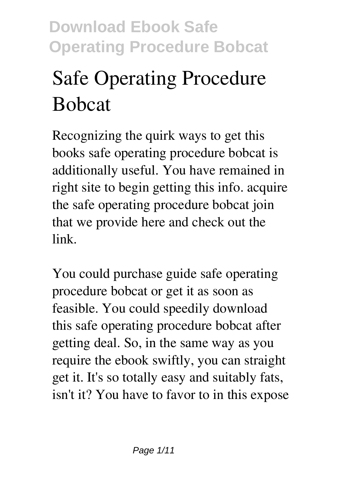# **Safe Operating Procedure Bobcat**

Recognizing the quirk ways to get this books **safe operating procedure bobcat** is additionally useful. You have remained in right site to begin getting this info. acquire the safe operating procedure bobcat join that we provide here and check out the link.

You could purchase guide safe operating procedure bobcat or get it as soon as feasible. You could speedily download this safe operating procedure bobcat after getting deal. So, in the same way as you require the ebook swiftly, you can straight get it. It's so totally easy and suitably fats, isn't it? You have to favor to in this expose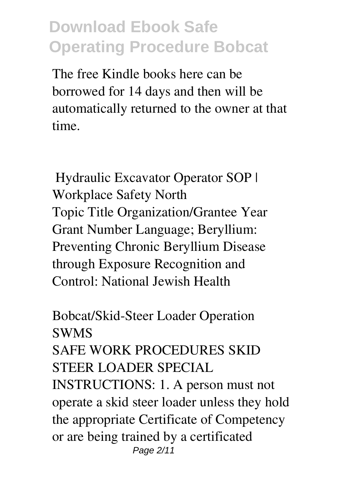The free Kindle books here can be borrowed for 14 days and then will be automatically returned to the owner at that time.

**Hydraulic Excavator Operator SOP | Workplace Safety North** Topic Title Organization/Grantee Year Grant Number Language; Beryllium: Preventing Chronic Beryllium Disease through Exposure Recognition and Control: National Jewish Health

**Bobcat/Skid-Steer Loader Operation SWMS** SAFE WORK PROCEDURES SKID STEER LOADER SPECIAL INSTRUCTIONS: 1. A person must not operate a skid steer loader unless they hold the appropriate Certificate of Competency or are being trained by a certificated Page 2/11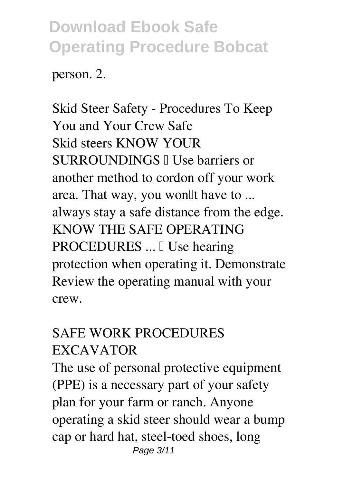person. 2.

**Skid Steer Safety - Procedures To Keep You and Your Crew Safe** Skid steers KNOW YOUR SURROUNDINGS II Use barriers or another method to cordon off your work area. That way, you won<sup>th</sup> have to ... always stay a safe distance from the edge. KNOW THE SAFE OPERATING PROCEDURES ... I Use hearing protection when operating it. Demonstrate Review the operating manual with your crew.

### **SAFE WORK PROCEDURES EXCAVATOR**

The use of personal protective equipment (PPE) is a necessary part of your safety plan for your farm or ranch. Anyone operating a skid steer should wear a bump cap or hard hat, steel-toed shoes, long Page 3/11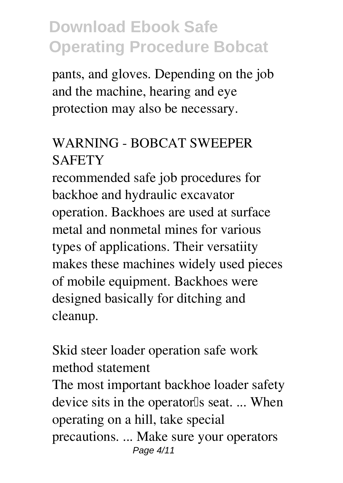pants, and gloves. Depending on the job and the machine, hearing and eye protection may also be necessary.

### **WARNING - BOBCAT SWEEPER SAFETY**

recommended safe job procedures for backhoe and hydraulic excavator operation. Backhoes are used at surface metal and nonmetal mines for various types of applications. Their versatiity makes these machines widely used pieces of mobile equipment. Backhoes were designed basically for ditching and cleanup.

**Skid steer loader operation safe work method statement**

The most important backhoe loader safety device sits in the operator<sup>[]</sup>s seat. ... When operating on a hill, take special precautions. ... Make sure your operators Page 4/11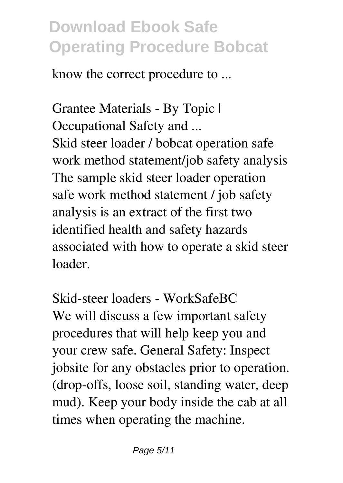know the correct procedure to ...

**Grantee Materials - By Topic | Occupational Safety and ...** Skid steer loader / bobcat operation safe work method statement/job safety analysis The sample skid steer loader operation safe work method statement / job safety analysis is an extract of the first two identified health and safety hazards associated with how to operate a skid steer loader.

**Skid-steer loaders - WorkSafeBC** We will discuss a few important safety procedures that will help keep you and your crew safe. General Safety: Inspect jobsite for any obstacles prior to operation. (drop-offs, loose soil, standing water, deep mud). Keep your body inside the cab at all times when operating the machine.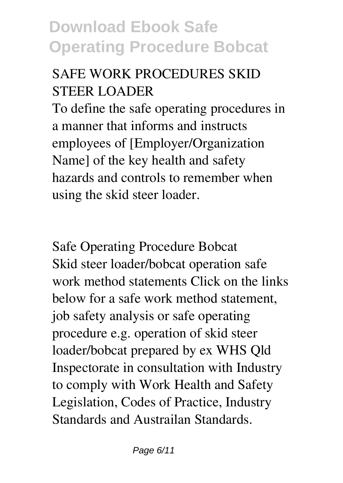### **SAFE WORK PROCEDURES SKID STEER LOADER**

To define the safe operating procedures in a manner that informs and instructs employees of [Employer/Organization Name] of the key health and safety hazards and controls to remember when using the skid steer loader.

**Safe Operating Procedure Bobcat** Skid steer loader/bobcat operation safe work method statements Click on the links below for a safe work method statement, job safety analysis or safe operating procedure e.g. operation of skid steer loader/bobcat prepared by ex WHS Qld Inspectorate in consultation with Industry to comply with Work Health and Safety Legislation, Codes of Practice, Industry Standards and Austrailan Standards.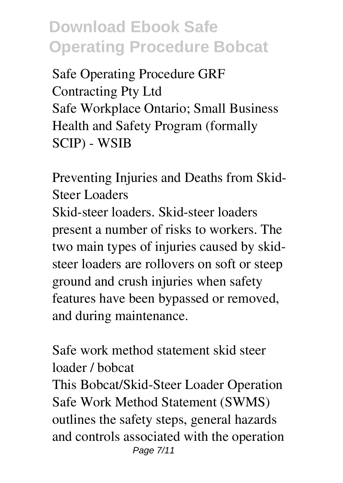**Safe Operating Procedure GRF Contracting Pty Ltd** Safe Workplace Ontario; Small Business Health and Safety Program (formally SCIP) - WSIB

**Preventing Injuries and Deaths from Skid-Steer Loaders** Skid-steer loaders. Skid-steer loaders present a number of risks to workers. The two main types of injuries caused by skidsteer loaders are rollovers on soft or steep ground and crush injuries when safety features have been bypassed or removed, and during maintenance.

**Safe work method statement skid steer loader / bobcat**

This Bobcat/Skid-Steer Loader Operation Safe Work Method Statement (SWMS) outlines the safety steps, general hazards and controls associated with the operation Page 7/11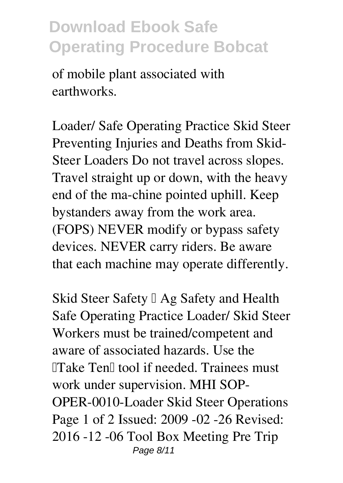of mobile plant associated with earthworks.

**Loader/ Safe Operating Practice Skid Steer** Preventing Injuries and Deaths from Skid-Steer Loaders Do not travel across slopes. Travel straight up or down, with the heavy end of the ma-chine pointed uphill. Keep bystanders away from the work area. (FOPS) NEVER modify or bypass safety devices. NEVER carry riders. Be aware that each machine may operate differently.

**Skid Steer Safety II Ag Safety and Health** Safe Operating Practice Loader/ Skid Steer Workers must be trained/competent and aware of associated hazards. Use the  $T$ ake Ten $T$  tool if needed. Trainees must work under supervision. MHI SOP-OPER-0010-Loader Skid Steer Operations Page 1 of 2 Issued: 2009 -02 -26 Revised: 2016 -12 -06 Tool Box Meeting Pre Trip Page 8/11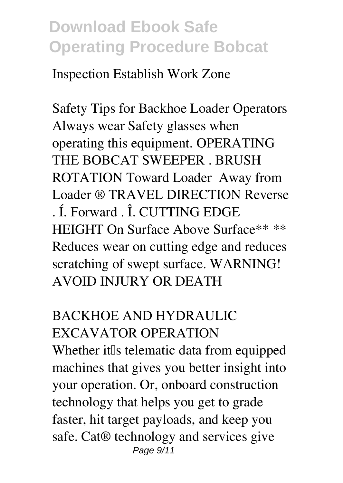#### Inspection Establish Work Zone

**Safety Tips for Backhoe Loader Operators** Always wear Safety glasses when operating this equipment. OPERATING THE BOBCAT SWEEPER . BRUSH ROTATION Toward Loader Away from Loader ® TRAVEL DIRECTION Reverse . Í. Forward . Î. CUTTING EDGE HEIGHT On Surface Above Surface\*\* \*\* Reduces wear on cutting edge and reduces scratching of swept surface. WARNING! AVOID INJURY OR DEATH

### **BACKHOE AND HYDRAULIC EXCAVATOR OPERATION**

Whether it<sup>Is</sup> telematic data from equipped machines that gives you better insight into your operation. Or, onboard construction technology that helps you get to grade faster, hit target payloads, and keep you safe. Cat® technology and services give Page 9/11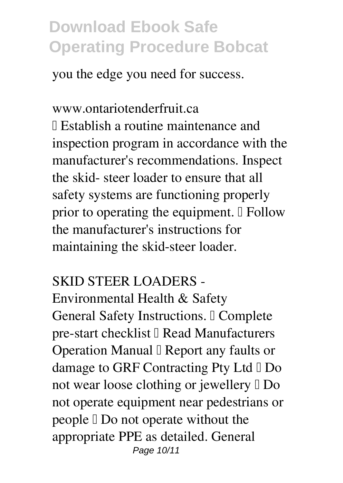you the edge you need for success.

**www.ontariotenderfruit.ca**

• Establish a routine maintenance and inspection program in accordance with the manufacturer's recommendations. Inspect the skid- steer loader to ensure that all safety systems are functioning properly prior to operating the equipment.  $\Box$  Follow the manufacturer's instructions for maintaining the skid-steer loader.

### **SKID STEER LOADERS -**

**Environmental Health & Safety** General Safety Instructions. <sup>[]</sup> Complete  $pre$ -start checklist  $\mathbb I$  Read Manufacturers Operation Manual  $\mathbb I$  Report any faults or damage to GRF Contracting Pty Ltd I Do not wear loose clothing or jewellery  $\mathbb{D}$  Do not operate equipment near pedestrians or people  $\mathbb{I}$  Do not operate without the appropriate PPE as detailed. General Page 10/11